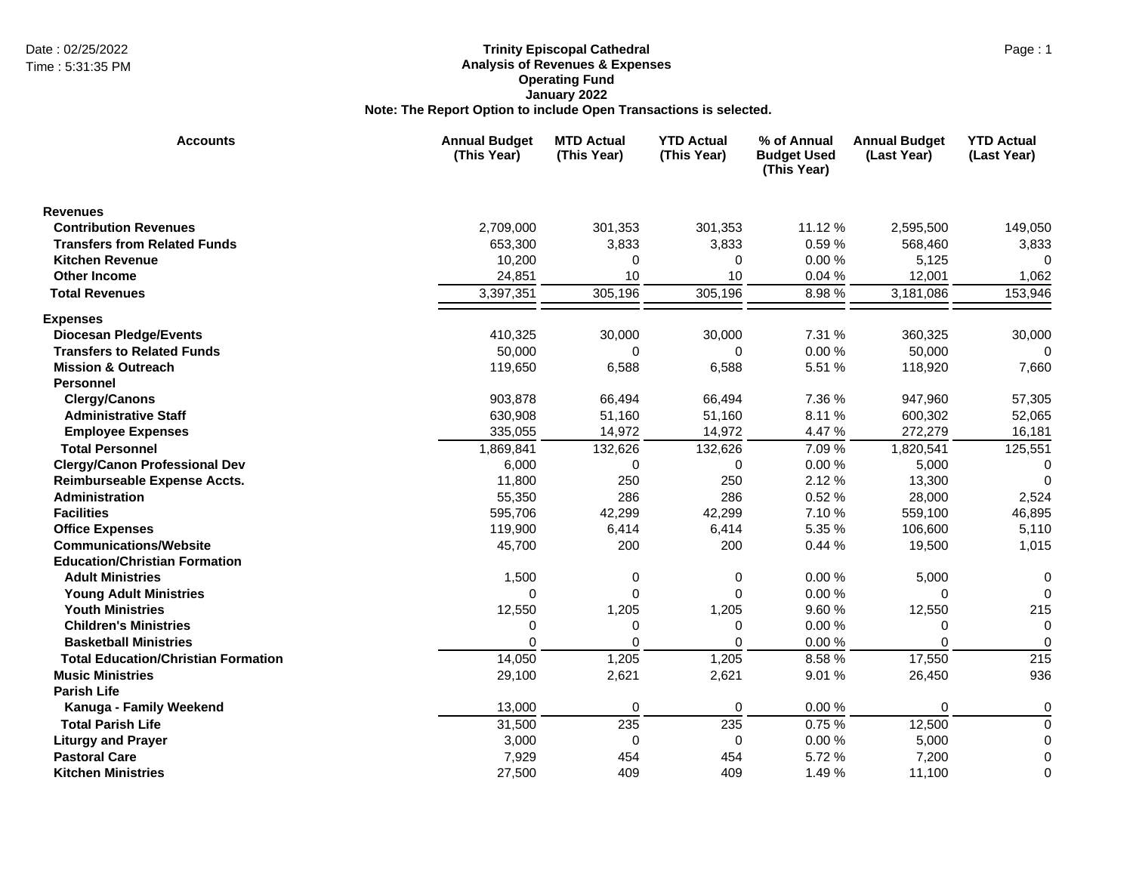## Date : 02/25/2022 Page : 1 **Trinity Episcopal Cathedral Analysis of Revenues & Expenses Operating Fund January 2022 Note: The Report Option to include Open Transactions is selected.**

| <b>Accounts</b>                            | <b>Annual Budget</b><br>(This Year) | <b>MTD Actual</b><br>(This Year) | <b>YTD Actual</b><br>(This Year) | % of Annual<br><b>Budget Used</b><br>(This Year) | <b>Annual Budget</b><br>(Last Year) | <b>YTD Actual</b><br>(Last Year) |
|--------------------------------------------|-------------------------------------|----------------------------------|----------------------------------|--------------------------------------------------|-------------------------------------|----------------------------------|
| <b>Revenues</b>                            |                                     |                                  |                                  |                                                  |                                     |                                  |
| <b>Contribution Revenues</b>               | 2,709,000                           | 301,353                          | 301,353                          | 11.12 %                                          | 2,595,500                           | 149,050                          |
| <b>Transfers from Related Funds</b>        | 653,300                             | 3,833                            | 3,833                            | 0.59%                                            | 568,460                             | 3,833                            |
| <b>Kitchen Revenue</b>                     | 10,200                              | $\Omega$                         | 0                                | 0.00%                                            | 5,125                               | $\Omega$                         |
| <b>Other Income</b>                        | 24,851                              | 10                               | 10                               | 0.04%                                            | 12,001                              | 1,062                            |
| <b>Total Revenues</b>                      | 3,397,351                           | 305,196                          | 305,196                          | 8.98%                                            | 3,181,086                           | 153,946                          |
| <b>Expenses</b>                            |                                     |                                  |                                  |                                                  |                                     |                                  |
| <b>Diocesan Pledge/Events</b>              | 410,325                             | 30,000                           | 30,000                           | 7.31 %                                           | 360,325                             | 30,000                           |
| <b>Transfers to Related Funds</b>          | 50,000                              | 0                                | 0                                | 0.00%                                            | 50,000                              | $\Omega$                         |
| <b>Mission &amp; Outreach</b>              | 119,650                             | 6,588                            | 6,588                            | 5.51 %                                           | 118,920                             | 7,660                            |
| <b>Personnel</b>                           |                                     |                                  |                                  |                                                  |                                     |                                  |
| <b>Clergy/Canons</b>                       | 903,878                             | 66,494                           | 66,494                           | 7.36 %                                           | 947,960                             | 57,305                           |
| <b>Administrative Staff</b>                | 630,908                             | 51,160                           | 51,160                           | 8.11%                                            | 600,302                             | 52,065                           |
| <b>Employee Expenses</b>                   | 335,055                             | 14,972                           | 14,972                           | 4.47 %                                           | 272,279                             | 16,181                           |
| <b>Total Personnel</b>                     | 1,869,841                           | 132,626                          | 132,626                          | 7.09 %                                           | 1,820,541                           | 125,551                          |
| <b>Clergy/Canon Professional Dev</b>       | 6,000                               | 0                                | 0                                | 0.00%                                            | 5,000                               | 0                                |
| Reimburseable Expense Accts.               | 11,800                              | 250                              | 250                              | 2.12 %                                           | 13,300                              | $\Omega$                         |
| Administration                             | 55,350                              | 286                              | 286                              | 0.52 %                                           | 28,000                              | 2,524                            |
| <b>Facilities</b>                          | 595,706                             | 42,299                           | 42,299                           | 7.10 %                                           | 559,100                             | 46,895                           |
| <b>Office Expenses</b>                     | 119,900                             | 6,414                            | 6,414                            | 5.35 %                                           | 106,600                             | 5,110                            |
| <b>Communications/Website</b>              | 45,700                              | 200                              | 200                              | 0.44%                                            | 19,500                              | 1,015                            |
| <b>Education/Christian Formation</b>       |                                     |                                  |                                  |                                                  |                                     |                                  |
| <b>Adult Ministries</b>                    | 1,500                               | 0                                | 0                                | 0.00%                                            | 5,000                               | 0                                |
| <b>Young Adult Ministries</b>              | $\Omega$                            | $\Omega$                         | 0                                | 0.00%                                            | 0                                   | $\Omega$                         |
| <b>Youth Ministries</b>                    | 12,550                              | 1,205                            | 1,205                            | 9.60%                                            | 12,550                              | 215                              |
| <b>Children's Ministries</b>               | 0                                   | 0                                | 0                                | 0.00%                                            | 0                                   | $\mathbf 0$                      |
| <b>Basketball Ministries</b>               | 0                                   | 0                                | 0                                | 0.00%                                            | $\Omega$                            | $\mathbf 0$                      |
| <b>Total Education/Christian Formation</b> | 14,050                              | 1,205                            | 1,205                            | 8.58 %                                           | 17,550                              | 215                              |
| <b>Music Ministries</b>                    | 29,100                              | 2,621                            | 2,621                            | 9.01 %                                           | 26,450                              | 936                              |
| <b>Parish Life</b>                         |                                     |                                  |                                  |                                                  |                                     |                                  |
| Kanuga - Family Weekend                    | 13,000                              | 0                                | $\pmb{0}$                        | 0.00%                                            | 0                                   | 0                                |
| <b>Total Parish Life</b>                   | 31,500                              | 235                              | 235                              | 0.75 %                                           | 12,500                              | $\mathbf 0$                      |
| <b>Liturgy and Prayer</b>                  | 3,000                               | 0                                | 0                                | 0.00%                                            | 5,000                               | 0                                |
| <b>Pastoral Care</b>                       | 7,929                               | 454                              | 454                              | 5.72 %                                           | 7,200                               | $\Omega$                         |
| <b>Kitchen Ministries</b>                  | 27,500                              | 409                              | 409                              | 1.49 %                                           | 11,100                              | $\Omega$                         |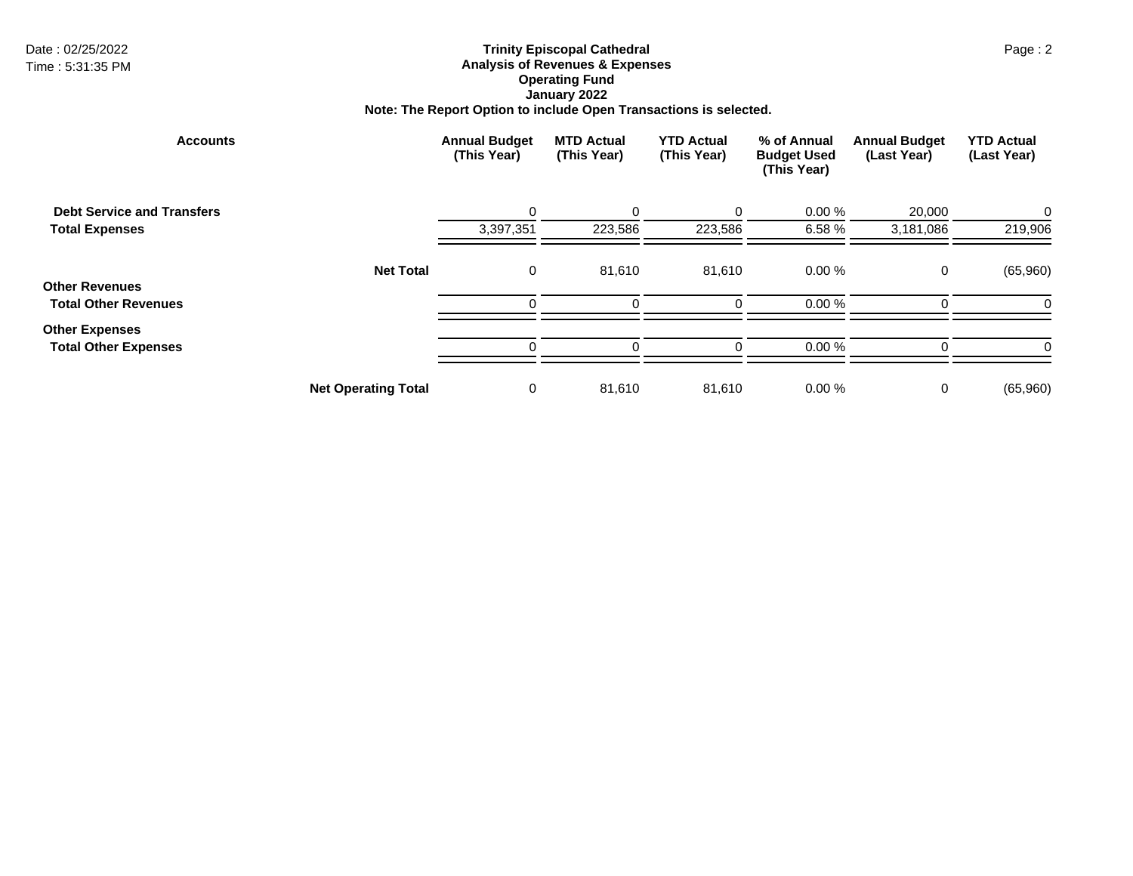## Date : 02/25/2022 Page : 2 **Trinity Episcopal Cathedral Analysis of Revenues & Expenses Operating Fund January 2022 Note: The Report Option to include Open Transactions is selected.**

| <b>Accounts</b>                                      |                            | <b>Annual Budget</b><br>(This Year) | <b>MTD Actual</b><br>(This Year) | <b>YTD Actual</b><br>(This Year) | % of Annual<br><b>Budget Used</b><br>(This Year) | <b>Annual Budget</b><br>(Last Year) | <b>YTD Actual</b><br>(Last Year) |
|------------------------------------------------------|----------------------------|-------------------------------------|----------------------------------|----------------------------------|--------------------------------------------------|-------------------------------------|----------------------------------|
| <b>Debt Service and Transfers</b>                    |                            | 0                                   | $\Omega$                         | 0                                | 0.00%                                            | 20,000                              | 0                                |
| <b>Total Expenses</b>                                |                            | 3,397,351                           | 223,586                          | 223,586                          | 6.58 %                                           | 3,181,086                           | 219,906                          |
| <b>Other Revenues</b>                                | <b>Net Total</b>           | 0                                   | 81,610                           | 81,610                           | 0.00%                                            | 0                                   | (65,960)                         |
| <b>Total Other Revenues</b>                          |                            | $\Omega$                            |                                  |                                  | 0.00%                                            |                                     | 0                                |
| <b>Other Expenses</b><br><b>Total Other Expenses</b> |                            | $\Omega$                            |                                  |                                  | 0.00%                                            |                                     | C                                |
|                                                      | <b>Net Operating Total</b> | 0                                   | 81,610                           | 81,610                           | 0.00%                                            | 0                                   | (65,960)                         |